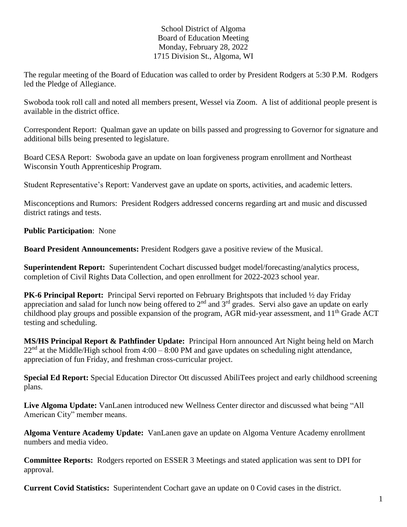## School District of Algoma Board of Education Meeting Monday, February 28, 2022 1715 Division St., Algoma, WI

The regular meeting of the Board of Education was called to order by President Rodgers at 5:30 P.M. Rodgers led the Pledge of Allegiance.

Swoboda took roll call and noted all members present, Wessel via Zoom. A list of additional people present is available in the district office.

Correspondent Report: Qualman gave an update on bills passed and progressing to Governor for signature and additional bills being presented to legislature.

Board CESA Report: Swoboda gave an update on loan forgiveness program enrollment and Northeast Wisconsin Youth Apprenticeship Program.

Student Representative's Report: Vandervest gave an update on sports, activities, and academic letters.

Misconceptions and Rumors: President Rodgers addressed concerns regarding art and music and discussed district ratings and tests.

**Public Participation**: None

**Board President Announcements:** President Rodgers gave a positive review of the Musical.

**Superintendent Report:** Superintendent Cochart discussed budget model/forecasting/analytics process, completion of Civil Rights Data Collection, and open enrollment for 2022-2023 school year.

**PK-6 Principal Report:** Principal Servi reported on February Brightspots that included ½ day Friday appreciation and salad for lunch now being offered to  $2<sup>nd</sup>$  and  $3<sup>rd</sup>$  grades. Servi also gave an update on early childhood play groups and possible expansion of the program, AGR mid-year assessment, and 11th Grade ACT testing and scheduling.

**MS/HS Principal Report & Pathfinder Update:** Principal Horn announced Art Night being held on March  $22<sup>nd</sup>$  at the Middle/High school from 4:00 – 8:00 PM and gave updates on scheduling night attendance, appreciation of fun Friday, and freshman cross-curricular project.

**Special Ed Report:** Special Education Director Ott discussed AbiliTees project and early childhood screening plans.

**Live Algoma Update:** VanLanen introduced new Wellness Center director and discussed what being "All American City" member means.

**Algoma Venture Academy Update:** VanLanen gave an update on Algoma Venture Academy enrollment numbers and media video.

**Committee Reports:** Rodgers reported on ESSER 3 Meetings and stated application was sent to DPI for approval.

**Current Covid Statistics:** Superintendent Cochart gave an update on 0 Covid cases in the district.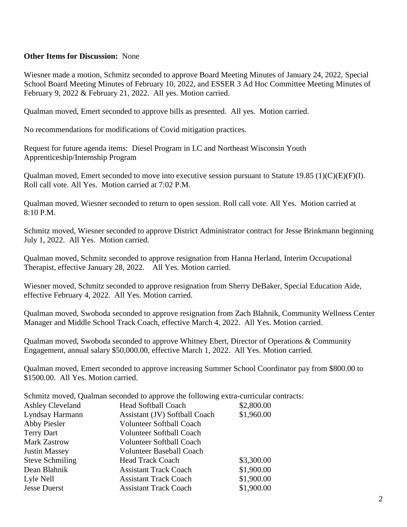## **Other Items for Discussion:** None

Wiesner made a motion, Schmitz seconded to approve Board Meeting Minutes of January 24, 2022, Special School Board Meeting Minutes of February 10, 2022, and ESSER 3 Ad Hoc Committee Meeting Minutes of February 9, 2022 & February 21, 2022. All yes. Motion carried.

Qualman moved, Emert seconded to approve bills as presented. All yes. Motion carried.

No recommendations for modifications of Covid mitigation practices.

Request for future agenda items: Diesel Program in LC and Northeast Wisconsin Youth Apprenticeship/Internship Program

Qualman moved, Emert seconded to move into executive session pursuant to Statute 19.85 (1)(C)(E)(F)(I). Roll call vote. All Yes. Motion carried at 7:02 P.M.

Qualman moved, Wiesner seconded to return to open session. Roll call vote. All Yes. Motion carried at 8:10 P.M.

Schmitz moved, Wiesner seconded to approve District Administrator contract for Jesse Brinkmann beginning July 1, 2022. All Yes. Motion carried.

Qualman moved, Schmitz seconded to approve resignation from Hanna Herland, Interim Occupational Therapist, effective January 28, 2022. All Yes. Motion carried.

Wiesner moved, Schmitz seconded to approve resignation from Sherry DeBaker, Special Education Aide, effective February 4, 2022. All Yes. Motion carried.

Qualman moved, Swoboda seconded to approve resignation from Zach Blahnik, Community Wellness Center Manager and Middle School Track Coach, effective March 4, 2022. All Yes. Motion carried.

Qualman moved, Swoboda seconded to approve Whitney Ebert, Director of Operations & Community Engagement, annual salary \$50,000.00, effective March 1, 2022. All Yes. Motion carried.

Qualman moved, Emert seconded to approve increasing Summer School Coordinator pay from \$800.00 to \$1500.00. All Yes. Motion carried.

| Schmitz moved, Qualman seconded to approve the following extra-curricular contracts: |                                 |            |
|--------------------------------------------------------------------------------------|---------------------------------|------------|
| <b>Ashley Cleveland</b>                                                              | <b>Head Softball Coach</b>      | \$2,800.00 |
| Lyndsay Harmann                                                                      | Assistant (JV) Softball Coach   | \$1,960.00 |
| <b>Abby Piesler</b>                                                                  | <b>Volunteer Softball Coach</b> |            |
| <b>Terry Dart</b>                                                                    | <b>Volunteer Softball Coach</b> |            |
| <b>Mark Zastrow</b>                                                                  | <b>Volunteer Softball Coach</b> |            |
| <b>Justin Massey</b>                                                                 | <b>Volunteer Baseball Coach</b> |            |
| <b>Steve Schmiling</b>                                                               | <b>Head Track Coach</b>         | \$3,300.00 |
| Dean Blahnik                                                                         | <b>Assistant Track Coach</b>    | \$1,900.00 |
| Lyle Nell                                                                            | <b>Assistant Track Coach</b>    | \$1,900.00 |
| <b>Jesse Duerst</b>                                                                  | <b>Assistant Track Coach</b>    | \$1,900.00 |